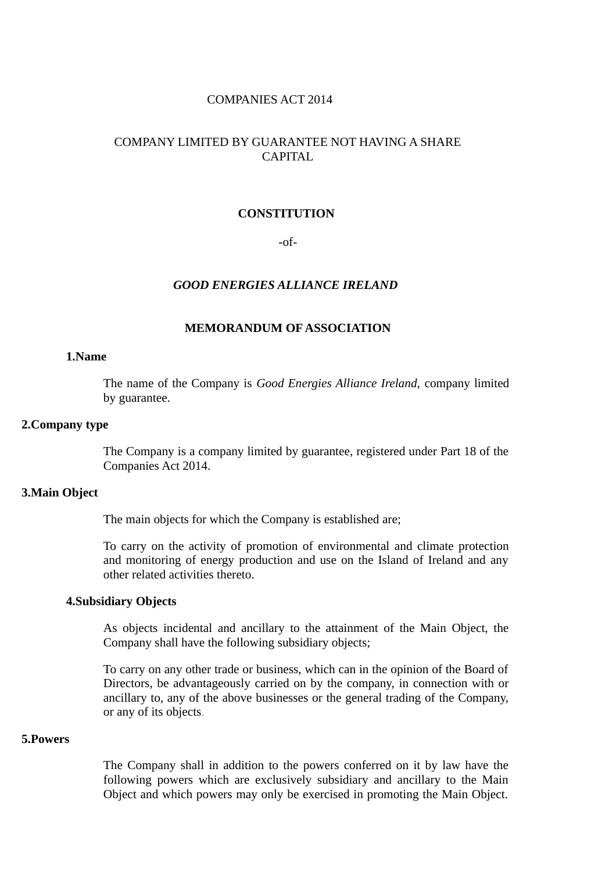#### **COMPANIES ACT 2014**

## COMPANY LIMITED BY GUARANTEE NOT HAVING A SHARE CAPITAL

#### **CONSTITUTION**

 $-of-$ 

#### **GOOD ENERGIES ALLIANCE IRELAND**

#### **MEMORANDUM OF ASSOCIATION**

#### 1.Name

The name of the Company is *Good Energies Alliance Ireland*, company limited by guarantee.

### 2. Company type

The Company is a company limited by guarantee, registered under Part 18 of the Companies Act 2014.

#### **3.Main Object**

The main objects for which the Company is established are;

To carry on the activity of promotion of environmental and climate protection and monitoring of energy production and use on the Island of Ireland and any other related activities thereto.

#### **4. Subsidiary Objects**

As objects incidental and ancillary to the attainment of the Main Object, the Company shall have the following subsidiary objects;

To carry on any other trade or business, which can in the opinion of the Board of Directors, be advantageously carried on by the company, in connection with or ancillary to, any of the above businesses or the general trading of the Company, or any of its objects.

#### 5. Powers

The Company shall in addition to the powers conferred on it by law have the following powers which are exclusively subsidiary and ancillary to the Main Object and which powers may only be exercised in promoting the Main Object.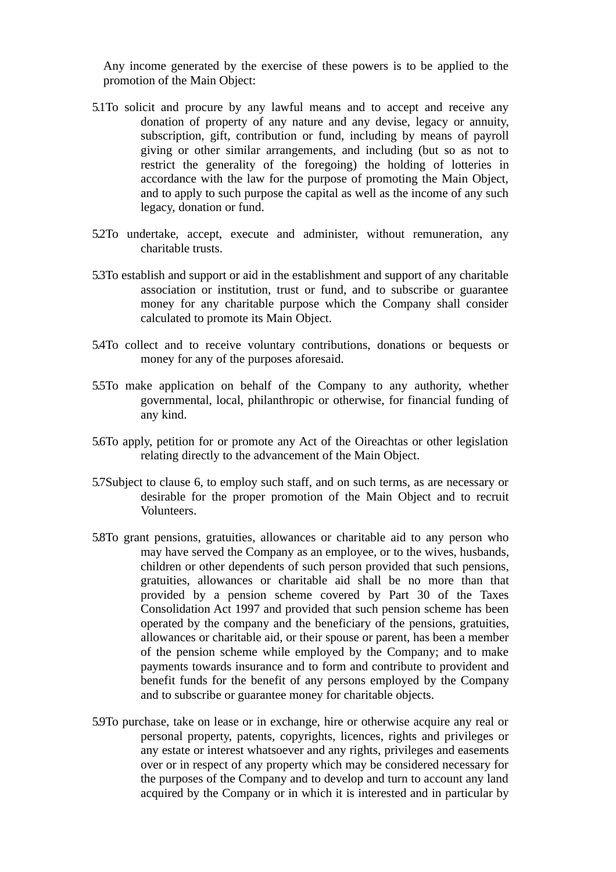Any income generated by the exercise of these powers is to be applied to the promotion of the Main Object:

- 5.1To solicit and procure by any lawful means and to accept and receive any donation of property of any nature and any devise, legacy or annuity, subscription, gift, contribution or fund, including by means of payroll giving or other similar arrangements, and including (but so as not to restrict the generality of the foregoing) the holding of lotteries in accordance with the law for the purpose of promoting the Main Object, and to apply to such purpose the capital as well as the income of any such legacy, donation or fund.
- 5.2To undertake, accept, execute and administer, without remuneration, any charitable trusts.
- 5.3To establish and support or aid in the establishment and support of any charitable association or institution, trust or fund, and to subscribe or guarantee money for any charitable purpose which the Company shall consider calculated to promote its Main Object.
- 5.4To collect and to receive voluntary contributions, donations or bequests or money for any of the purposes aforesaid.
- 5.5To make application on behalf of the Company to any authority, whether governmental, local, philanthropic or otherwise, for financial funding of any kind.
- 5.6To apply, petition for or promote any Act of the Oireachtas or other legislation relating directly to the advancement of the Main Object.
- 5.7Subject to clause 6, to employ such staff, and on such terms, as are necessary or desirable for the proper promotion of the Main Object and to recruit Volunteers.
- 5.8To grant pensions, gratuities, allowances or charitable aid to any person who may have served the Company as an employee, or to the wives, husbands, children or other dependents of such person provided that such pensions, gratuities, allowances or charitable aid shall be no more than that provided by a pension scheme covered by Part 30 of the Taxes Consolidation Act 1997 and provided that such pension scheme has been operated by the company and the beneficiary of the pensions, gratuities, allowances or charitable aid, or their spouse or parent, has been a member of the pension scheme while employed by the Company; and to make payments towards insurance and to form and contribute to provident and benefit funds for the benefit of any persons employed by the Company and to subscribe or guarantee money for charitable objects.
- 5.9To purchase, take on lease or in exchange, hire or otherwise acquire any real or personal property, patents, copyrights, licences, rights and privileges or any estate or interest whatsoever and any rights, privileges and easements over or in respect of any property which may be considered necessary for the purposes of the Company and to develop and turn to account any land acquired by the Company or in which it is interested and in particular by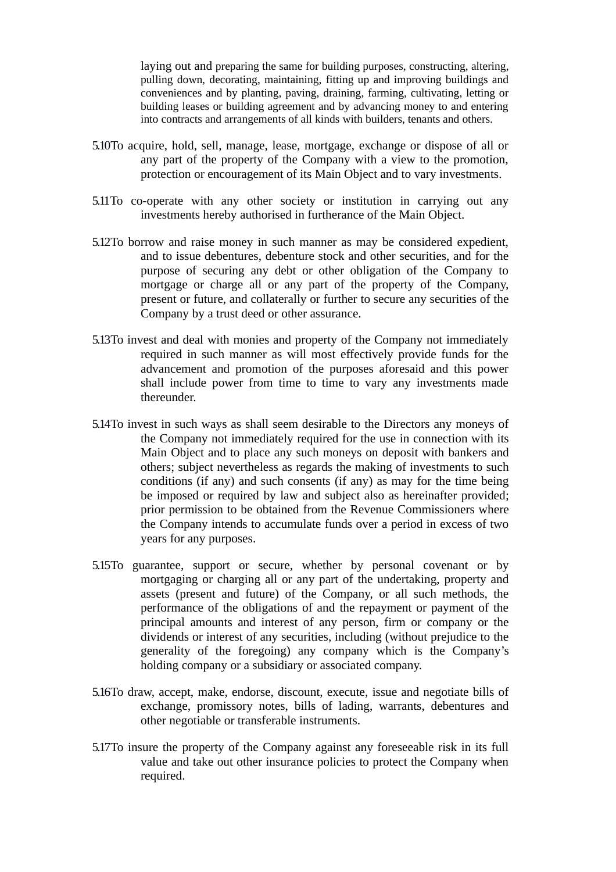laying out and preparing the same for building purposes, constructing, altering, pulling down, decorating, maintaining, fitting up and improving buildings and conveniences and by planting, paving, draining, farming, cultivating, letting or building leases or building agreement and by advancing money to and entering into contracts and arrangements of all kinds with builders, tenants and others.

- 5.10To acquire, hold, sell, manage, lease, mortgage, exchange or dispose of all or any part of the property of the Company with a view to the promotion, protection or encouragement of its Main Object and to vary investments.
- 5.11 To co-operate with any other society or institution in carrying out any investments hereby authorised in furtherance of the Main Object.
- 5.12To borrow and raise money in such manner as may be considered expedient, and to issue debentures, debenture stock and other securities, and for the purpose of securing any debt or other obligation of the Company to mortgage or charge all or any part of the property of the Company, present or future, and collaterally or further to secure any securities of the Company by a trust deed or other assurance.
- 5.13To invest and deal with monies and property of the Company not immediately required in such manner as will most effectively provide funds for the advancement and promotion of the purposes aforesaid and this power shall include power from time to time to vary any investments made thereunder.
- 5.14To invest in such ways as shall seem desirable to the Directors any moneys of the Company not immediately required for the use in connection with its Main Object and to place any such moneys on deposit with bankers and others; subject nevertheless as regards the making of investments to such conditions (if any) and such consents (if any) as may for the time being be imposed or required by law and subject also as hereinafter provided: prior permission to be obtained from the Revenue Commissioners where the Company intends to accumulate funds over a period in excess of two years for any purposes.
- 5.15To guarantee, support or secure, whether by personal covenant or by mortgaging or charging all or any part of the undertaking, property and assets (present and future) of the Company, or all such methods, the performance of the obligations of and the repayment or payment of the principal amounts and interest of any person, firm or company or the dividends or interest of any securities, including (without prejudice to the generality of the foregoing) any company which is the Company's holding company or a subsidiary or associated company.
- 5.16To draw, accept, make, endorse, discount, execute, issue and negotiate bills of exchange, promissory notes, bills of lading, warrants, debentures and other negotiable or transferable instruments.
- 5.17To insure the property of the Company against any foreseeable risk in its full value and take out other insurance policies to protect the Company when required.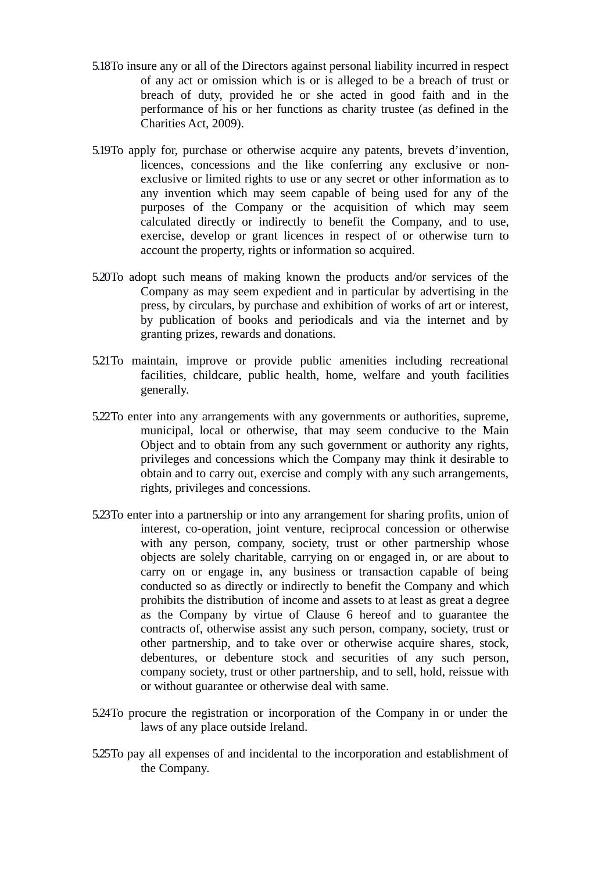- 5.18To insure any or all of the Directors against personal liability incurred in respect of any act or omission which is or is alleged to be a breach of trust or breach of duty, provided he or she acted in good faith and in the performance of his or her functions as charity trustee (as defined in the Charities Act, 2009).
- 5.19To apply for, purchase or otherwise acquire any patents, brevets d'invention, licences, concessions and the like conferring any exclusive or nonexclusive or limited rights to use or any secret or other information as to any invention which may seem capable of being used for any of the purposes of the Company or the acquisition of which may seem calculated directly or indirectly to benefit the Company, and to use, exercise, develop or grant licences in respect of or otherwise turn to account the property, rights or information so acquired.
- 5.20To adopt such means of making known the products and/or services of the Company as may seem expedient and in particular by advertising in the press, by circulars, by purchase and exhibition of works of art or interest, by publication of books and periodicals and via the internet and by granting prizes, rewards and donations.
- 5.21To maintain, improve or provide public amenities including recreational facilities, childcare, public health, home, welfare and youth facilities generally.
- 5.22To enter into any arrangements with any governments or authorities, supreme, municipal, local or otherwise, that may seem conducive to the Main Object and to obtain from any such government or authority any rights, privileges and concessions which the Company may think it desirable to obtain and to carry out, exercise and comply with any such arrangements, rights, privileges and concessions.
- 5.23To enter into a partnership or into any arrangement for sharing profits, union of interest, co-operation, joint venture, reciprocal concession or otherwise with any person, company, society, trust or other partnership whose objects are solely charitable, carrying on or engaged in, or are about to carry on or engage in, any business or transaction capable of being conducted so as directly or indirectly to benefit the Company and which prohibits the distribution of income and assets to at least as great a degree as the Company by virtue of Clause 6 hereof and to guarantee the contracts of, otherwise assist any such person, company, society, trust or other partnership, and to take over or otherwise acquire shares, stock, debentures, or debenture stock and securities of any such person, company society, trust or other partnership, and to sell, hold, reissue with or without guarantee or otherwise deal with same.
- 5.24To procure the registration or incorporation of the Company in or under the laws of any place outside Ireland.
- 5.25To pay all expenses of and incidental to the incorporation and establishment of the Company.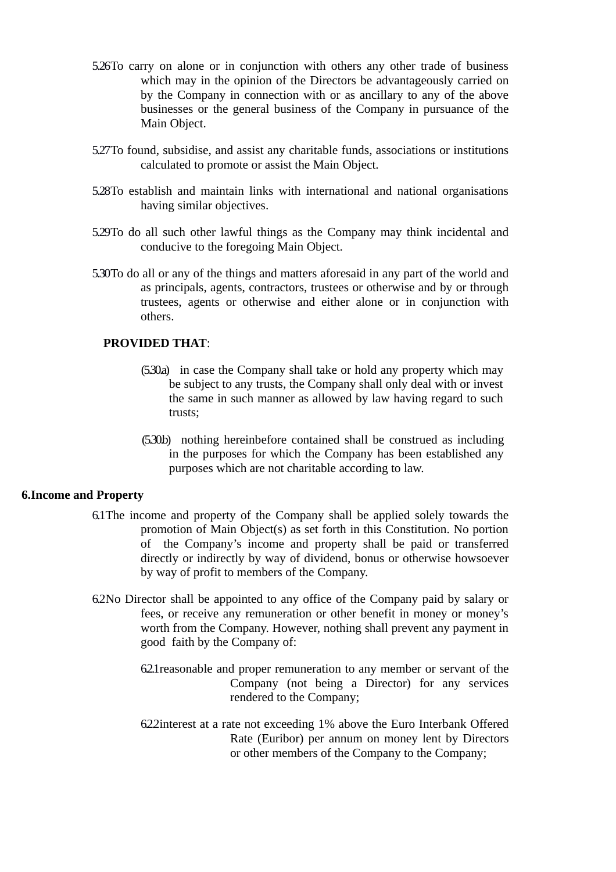- 5.26To carry on alone or in conjunction with others any other trade of business which may in the opinion of the Directors be advantageously carried on by the Company in connection with or as ancillary to any of the above businesses or the general business of the Company in pursuance of the Main Object.
- 5.27To found, subsidise, and assist any charitable funds, associations or institutions calculated to promote or assist the Main Object.
- 5.28To establish and maintain links with international and national organisations having similar objectives.
- 5.29To do all such other lawful things as the Company may think incidental and conducive to the foregoing Main Object.
- 5.30To do all or any of the things and matters aforesaid in any part of the world and as principals, agents, contractors, trustees or otherwise and by or through trustees, agents or otherwise and either alone or in conjunction with others.

## **PROVIDED THAT:**

- (5.30a) in case the Company shall take or hold any property which may be subject to any trusts, the Company shall only deal with or invest the same in such manner as allowed by law having regard to such trusts;
- (5.30b) nothing hereinbefore contained shall be construed as including in the purposes for which the Company has been established any purposes which are not charitable according to law.

#### **6. Income and Property**

- 6.1 The income and property of the Company shall be applied solely towards the promotion of Main Object(s) as set forth in this Constitution. No portion of the Company's income and property shall be paid or transferred directly or indirectly by way of dividend, bonus or otherwise howsoever by way of profit to members of the Company.
- 6.2No Director shall be appointed to any office of the Company paid by salary or fees, or receive any remuneration or other benefit in money or money's worth from the Company. However, nothing shall prevent any payment in good faith by the Company of:
	- 621 reasonable and proper remuneration to any member or servant of the Company (not being a Director) for any services rendered to the Company;
	- 622 interest at a rate not exceeding 1% above the Euro Interbank Offered Rate (Euribor) per annum on money lent by Directors or other members of the Company to the Company;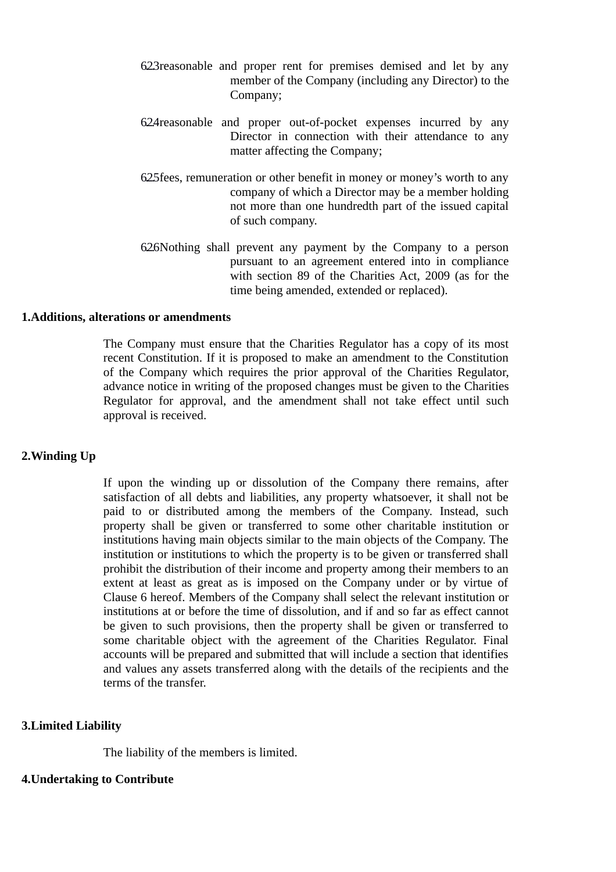- 623 reasonable and proper rent for premises demised and let by any member of the Company (including any Director) to the Company;
- 624 reasonable and proper out-of-pocket expenses incurred by any Director in connection with their attendance to any matter affecting the Company;
- 625 fees, remuneration or other benefit in money or money's worth to any company of which a Director may be a member holding not more than one hundredth part of the issued capital of such company.
- 626Nothing shall prevent any payment by the Company to a person pursuant to an agreement entered into in compliance with section 89 of the Charities Act, 2009 (as for the time being amended, extended or replaced).

#### **1.Additions. alterations or amendments**

The Company must ensure that the Charities Regulator has a copy of its most recent Constitution. If it is proposed to make an amendment to the Constitution of the Company which requires the prior approval of the Charities Regulator, advance notice in writing of the proposed changes must be given to the Charities Regulator for approval, and the amendment shall not take effect until such approval is received.

### 2. Winding Up

If upon the winding up or dissolution of the Company there remains, after satisfaction of all debts and liabilities, any property whatsoever, it shall not be paid to or distributed among the members of the Company. Instead, such property shall be given or transferred to some other charitable institution or institutions having main objects similar to the main objects of the Company. The institution or institutions to which the property is to be given or transferred shall prohibit the distribution of their income and property among their members to an extent at least as great as is imposed on the Company under or by virtue of Clause 6 hereof. Members of the Company shall select the relevant institution or institutions at or before the time of dissolution, and if and so far as effect cannot be given to such provisions, then the property shall be given or transferred to some charitable object with the agreement of the Charities Regulator. Final accounts will be prepared and submitted that will include a section that identifies and values any assets transferred along with the details of the recipients and the terms of the transfer.

#### **3.Limited Liability**

The liability of the members is limited.

### **4. Undertaking to Contribute**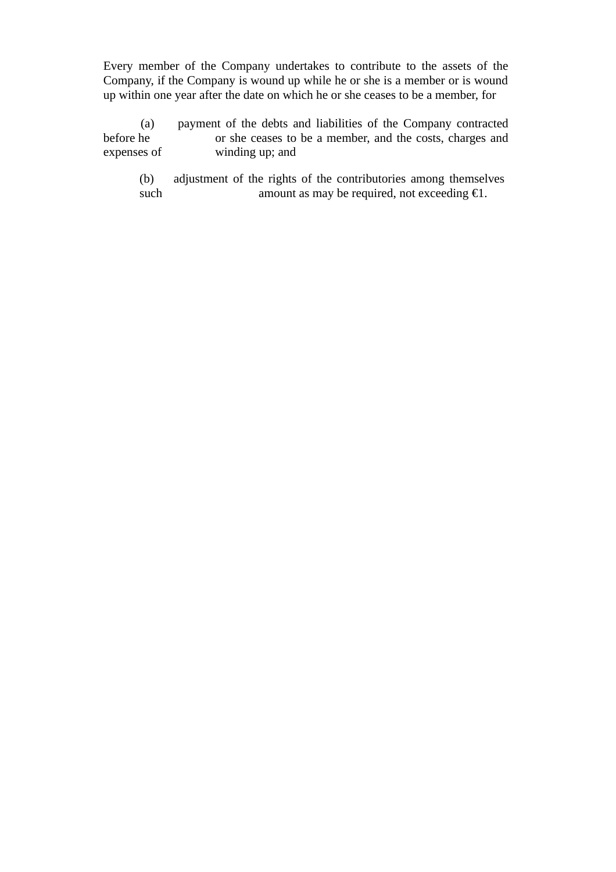Every member of the Company undertakes to contribute to the assets of the Company, if the Company is wound up while he or she is a member or is wound up within one year after the date on which he or she ceases to be a member, for

payment of the debts and liabilities of the Company contracted  $(a)$ before he or she ceases to be a member, and the costs, charges and expenses of winding up; and

adjustment of the rights of the contributories among themselves  $(b)$ such amount as may be required, not exceeding  $E1$ .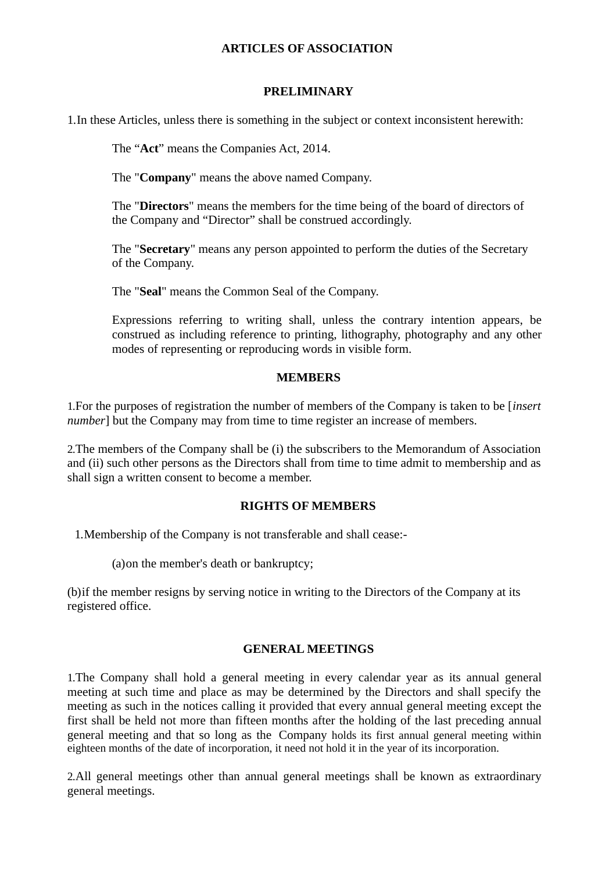## **ARTICLES OF ASSOCIATION**

### **PRELIMINARY**

1. In these Articles, unless there is something in the subject or context inconsistent herewith:

The "Act" means the Companies Act, 2014.

The "Company" means the above named Company.

The "Directors" means the members for the time being of the board of directors of the Company and "Director" shall be construed accordingly.

The "Secretary" means any person appointed to perform the duties of the Secretary of the Company.

The "Seal" means the Common Seal of the Company.

Expressions referring to writing shall, unless the contrary intention appears, be construed as including reference to printing, lithography, photography and any other modes of representing or reproducing words in visible form.

### **MEMBERS**

1. For the purposes of registration the number of members of the Company is taken to be [*insert*] number] but the Company may from time to time register an increase of members.

2. The members of the Company shall be (i) the subscribers to the Memorandum of Association and (ii) such other persons as the Directors shall from time to time admit to membership and as shall sign a written consent to become a member.

### **RIGHTS OF MEMBERS**

1. Membership of the Company is not transferable and shall cease:-

(a) on the member's death or bankruptcy;

(b) if the member resigns by serving notice in writing to the Directors of the Company at its registered office.

### **GENERAL MEETINGS**

1. The Company shall hold a general meeting in every calendar year as its annual general meeting at such time and place as may be determined by the Directors and shall specify the meeting as such in the notices calling it provided that every annual general meeting except the first shall be held not more than fifteen months after the holding of the last preceding annual general meeting and that so long as the Company holds its first annual general meeting within eighteen months of the date of incorporation, it need not hold it in the year of its incorporation.

2. All general meetings other than annual general meetings shall be known as extraordinary general meetings.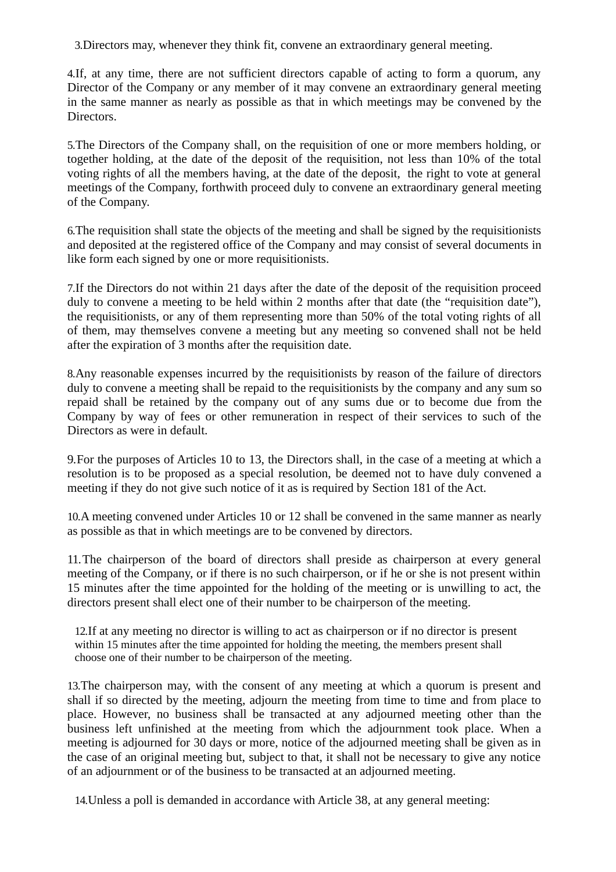3. Directors may, whenever they think fit, convene an extraordinary general meeting.

4. If, at any time, there are not sufficient directors capable of acting to form a quorum, any Director of the Company or any member of it may convene an extraordinary general meeting in the same manner as nearly as possible as that in which meetings may be convened by the Directors.

5. The Directors of the Company shall, on the requisition of one or more members holding, or together holding, at the date of the deposit of the requisition, not less than 10% of the total voting rights of all the members having, at the date of the deposit, the right to vote at general meetings of the Company, forthwith proceed duly to convene an extraordinary general meeting of the Company.

6. The requisition shall state the objects of the meeting and shall be signed by the requisitionists and deposited at the registered office of the Company and may consist of several documents in like form each signed by one or more requisitionists.

7. If the Directors do not within 21 days after the date of the deposit of the requisition proceed duly to convene a meeting to be held within 2 months after that date (the "requisition date"). the requisitionists, or any of them representing more than 50% of the total voting rights of all of them, may themselves convene a meeting but any meeting so convened shall not be held after the expiration of 3 months after the requisition date.

8. Any reasonable expenses incurred by the requisitionists by reason of the failure of directors duly to convene a meeting shall be repaid to the requisitionists by the company and any sum so repaid shall be retained by the company out of any sums due or to become due from the Company by way of fees or other remuneration in respect of their services to such of the Directors as were in default.

9. For the purposes of Articles 10 to 13, the Directors shall, in the case of a meeting at which a resolution is to be proposed as a special resolution, be deemed not to have duly convened a meeting if they do not give such notice of it as is required by Section 181 of the Act.

10.A meeting convened under Articles 10 or 12 shall be convened in the same manner as nearly as possible as that in which meetings are to be convened by directors.

11. The chairperson of the board of directors shall preside as chairperson at every general meeting of the Company, or if there is no such chairperson, or if he or she is not present within 15 minutes after the time appointed for the holding of the meeting or is unwilling to act, the directors present shall elect one of their number to be chairperson of the meeting.

12. If at any meeting no director is willing to act as chairperson or if no director is present within 15 minutes after the time appointed for holding the meeting, the members present shall choose one of their number to be chairperson of the meeting.

13. The chairperson may, with the consent of any meeting at which a quorum is present and shall if so directed by the meeting, adjourn the meeting from time to time and from place to place. However, no business shall be transacted at any adjourned meeting other than the business left unfinished at the meeting from which the adjournment took place. When a meeting is adjourned for 30 days or more, notice of the adjourned meeting shall be given as in the case of an original meeting but, subject to that, it shall not be necessary to give any notice of an adjournment or of the business to be transacted at an adjourned meeting.

14. Unless a poll is demanded in accordance with Article 38, at any general meeting: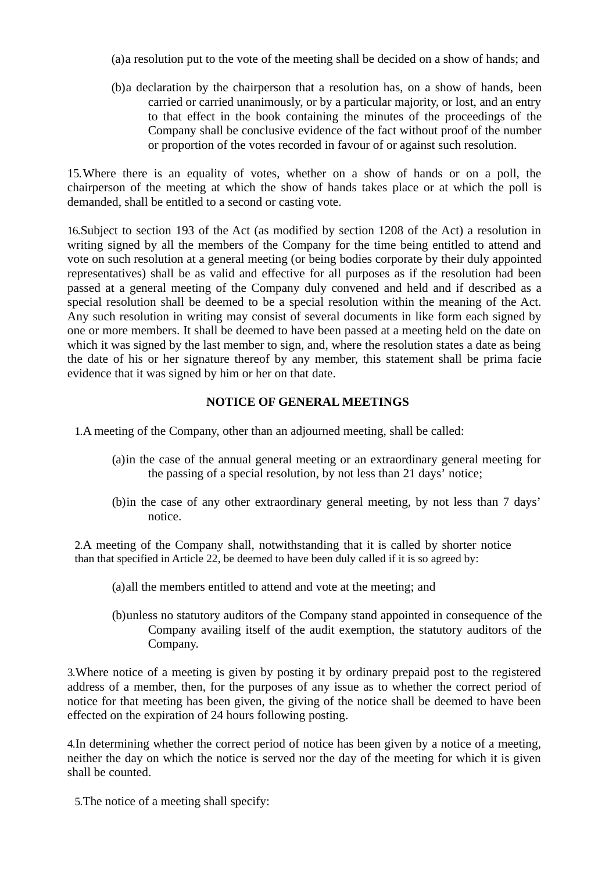(a) a resolution put to the vote of the meeting shall be decided on a show of hands; and

(b)a declaration by the chairperson that a resolution has, on a show of hands, been carried or carried unanimously, or by a particular majority, or lost, and an entry to that effect in the book containing the minutes of the proceedings of the Company shall be conclusive evidence of the fact without proof of the number or proportion of the votes recorded in favour of or against such resolution.

15. Where there is an equality of votes, whether on a show of hands or on a poll, the chairperson of the meeting at which the show of hands takes place or at which the poll is demanded, shall be entitled to a second or casting vote.

16. Subject to section 193 of the Act (as modified by section 1208 of the Act) a resolution in writing signed by all the members of the Company for the time being entitled to attend and vote on such resolution at a general meeting (or being bodies corporate by their duly appointed representatives) shall be as valid and effective for all purposes as if the resolution had been passed at a general meeting of the Company duly convened and held and if described as a special resolution shall be deemed to be a special resolution within the meaning of the Act. Any such resolution in writing may consist of several documents in like form each signed by one or more members. It shall be deemed to have been passed at a meeting held on the date on which it was signed by the last member to sign, and, where the resolution states a date as being the date of his or her signature thereof by any member, this statement shall be prima facie evidence that it was signed by him or her on that date.

## **NOTICE OF GENERAL MEETINGS**

- 1.A meeting of the Company, other than an adjourned meeting, shall be called:
	- (a) in the case of the annual general meeting or an extraordinary general meeting for the passing of a special resolution, by not less than 21 days' notice;
	- (b) in the case of any other extraordinary general meeting, by not less than 7 days' notice.

2.A meeting of the Company shall, notwithstanding that it is called by shorter notice than that specified in Article 22, be deemed to have been duly called if it is so agreed by:

- (a) all the members entitled to attend and vote at the meeting; and
- (b) unless no statutory auditors of the Company stand appointed in consequence of the Company availing itself of the audit exemption, the statutory auditors of the Company.

3. Where notice of a meeting is given by posting it by ordinary prepaid post to the registered address of a member, then, for the purposes of any issue as to whether the correct period of notice for that meeting has been given, the giving of the notice shall be deemed to have been effected on the expiration of 24 hours following posting.

4. In determining whether the correct period of notice has been given by a notice of a meeting, neither the day on which the notice is served nor the day of the meeting for which it is given shall be counted.

5. The notice of a meeting shall specify: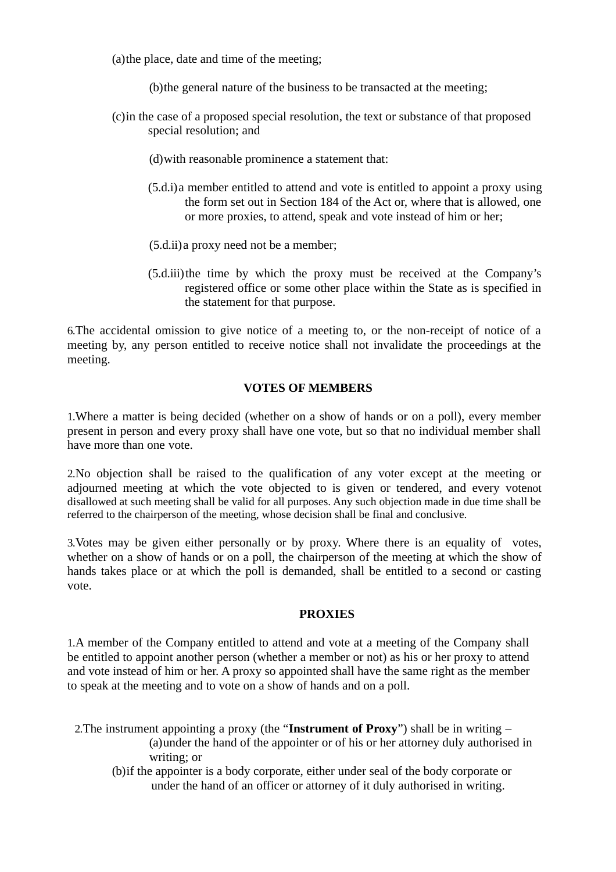(a) the place, date and time of the meeting;

(b) the general nature of the business to be transacted at the meeting;

(c) in the case of a proposed special resolution, the text or substance of that proposed special resolution; and

(d) with reasonable prominence a statement that:

- (5.d.i) a member entitled to attend and vote is entitled to appoint a proxy using the form set out in Section 184 of the Act or, where that is allowed, one or more proxies, to attend, speak and vote instead of him or her;
- (5.d.ii) a proxy need not be a member;
- (5.d.iii) the time by which the proxy must be received at the Company's registered office or some other place within the State as is specified in the statement for that purpose.

6. The accidental omission to give notice of a meeting to, or the non-receipt of notice of a meeting by, any person entitled to receive notice shall not invalidate the proceedings at the meeting.

## **VOTES OF MEMBERS**

1. Where a matter is being decided (whether on a show of hands or on a poll), every member present in person and every proxy shall have one vote, but so that no individual member shall have more than one vote.

2. No objection shall be raised to the qualification of any voter except at the meeting or adiourned meeting at which the vote objected to is given or tendered, and every votenot disallowed at such meeting shall be valid for all purposes. Any such objection made in due time shall be referred to the chairperson of the meeting, whose decision shall be final and conclusive.

3. Votes may be given either personally or by proxy. Where there is an equality of votes, whether on a show of hands or on a poll, the chairperson of the meeting at which the show of hands takes place or at which the poll is demanded, shall be entitled to a second or casting vote

### **PROXIES**

1.A member of the Company entitled to attend and vote at a meeting of the Company shall be entitled to appoint another person (whether a member or not) as his or her proxy to attend and vote instead of him or her. A proxy so appointed shall have the same right as the member to speak at the meeting and to vote on a show of hands and on a poll.

- 2. The instrument appointing a proxy (the "Instrument of Proxy") shall be in writing  $-$ (a) under the hand of the appointer or of his or her attorney duly authorised in writing: or
	- (b) if the appointer is a body corporate, either under seal of the body corporate or under the hand of an officer or attorney of it duly authorised in writing.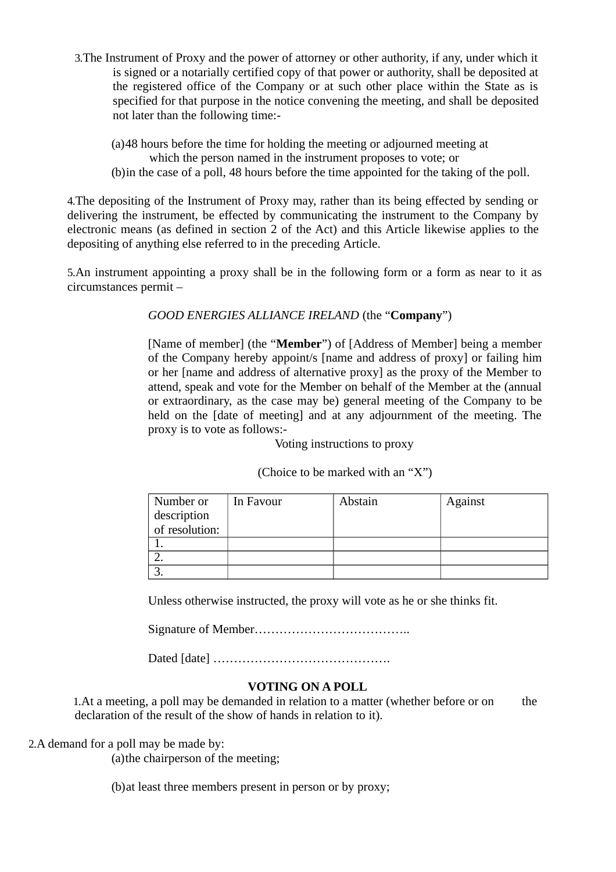- 3. The Instrument of Proxy and the power of attorney or other authority, if any, under which it is signed or a notarially certified copy of that power or authority, shall be deposited at the registered office of the Company or at such other place within the State as is specified for that purpose in the notice convening the meeting, and shall be deposited not later than the following time:-
	- (a)48 hours before the time for holding the meeting or adiourned meeting at
		- which the person named in the instrument proposes to vote; or
	- (b) in the case of a poll, 48 hours before the time appointed for the taking of the poll.

4. The depositing of the Instrument of Proxy may, rather than its being effected by sending or delivering the instrument, be effected by communicating the instrument to the Company by electronic means (as defined in section 2 of the Act) and this Article likewise applies to the depositing of anything else referred to in the preceding Article.

5.An instrument appointing a proxy shall be in the following form or a form as near to it as circumstances permit -

GOOD ENERGIES ALLIANCE IRELAND (the "Company")

[Name of member] (the "**Member**") of [Address of Member] being a member of the Company hereby appoint/s [name and address of proxy] or failing him or her [name and address of alternative proxy] as the proxy of the Member to attend, speak and vote for the Member on behalf of the Member at the (annual or extraordinary, as the case may be) general meeting of the Company to be held on the [date of meeting] and at any adjournment of the meeting. The proxy is to vote as follows:-

Voting instructions to proxy

(Choice to be marked with an "X")

| Number or      | In Favour | Abstain | Against |
|----------------|-----------|---------|---------|
| description    |           |         |         |
| of resolution: |           |         |         |
|                |           |         |         |
|                |           |         |         |
| ∍              |           |         |         |

Unless otherwise instructed, the proxy will vote as he or she thinks fit.

## **VOTING ON A POLL**

1. At a meeting, a poll may be demanded in relation to a matter (whether before or on the declaration of the result of the show of hands in relation to it).

2.A demand for a poll may be made by:

(a) the chairperson of the meeting;

(b) at least three members present in person or by proxy;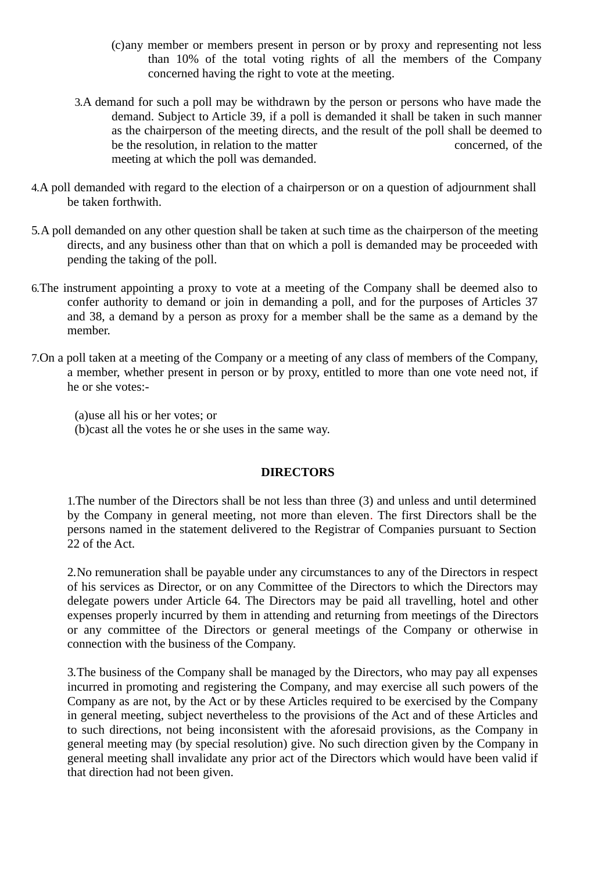- (c) any member or members present in person or by proxy and representing not less than 10% of the total voting rights of all the members of the Company concerned having the right to vote at the meeting.
- 3.A demand for such a poll may be withdrawn by the person or persons who have made the demand. Subject to Article 39, if a poll is demanded it shall be taken in such manner as the chairperson of the meeting directs, and the result of the poll shall be deemed to be the resolution, in relation to the matter concerned, of the meeting at which the poll was demanded.
- 4.A poll demanded with regard to the election of a chairperson or on a question of adjournment shall be taken forthwith.
- 5.A poll demanded on any other question shall be taken at such time as the chairperson of the meeting directs, and any business other than that on which a poll is demanded may be proceeded with pending the taking of the poll.
- 6. The instrument appointing a proxy to vote at a meeting of the Company shall be deemed also to confer authority to demand or join in demanding a poll, and for the purposes of Articles 37 and 38, a demand by a person as proxy for a member shall be the same as a demand by the member.
- 7. On a poll taken at a meeting of the Company or a meeting of any class of members of the Company, a member, whether present in person or by proxy, entitled to more than one vote need not, if he or she votes:-

(a)use all his or her votes: or (b) cast all the votes he or she uses in the same way.

### **DIRECTORS**

1. The number of the Directors shall be not less than three (3) and unless and until determined by the Company in general meeting, not more than eleven. The first Directors shall be the persons named in the statement delivered to the Registrar of Companies pursuant to Section 22 of the Act.

2. No remuneration shall be pavable under any circumstances to any of the Directors in respect of his services as Director, or on any Committee of the Directors to which the Directors may delegate powers under Article 64. The Directors may be paid all travelling, hotel and other expenses properly incurred by them in attending and returning from meetings of the Directors or any committee of the Directors or general meetings of the Company or otherwise in connection with the business of the Company.

3. The business of the Company shall be managed by the Directors, who may pay all expenses incurred in promoting and registering the Company, and may exercise all such powers of the Company as are not, by the Act or by these Articles required to be exercised by the Company in general meeting, subject nevertheless to the provisions of the Act and of these Articles and to such directions, not being inconsistent with the aforesaid provisions, as the Company in general meeting may (by special resolution) give. No such direction given by the Company in general meeting shall invalidate any prior act of the Directors which would have been valid if that direction had not been given.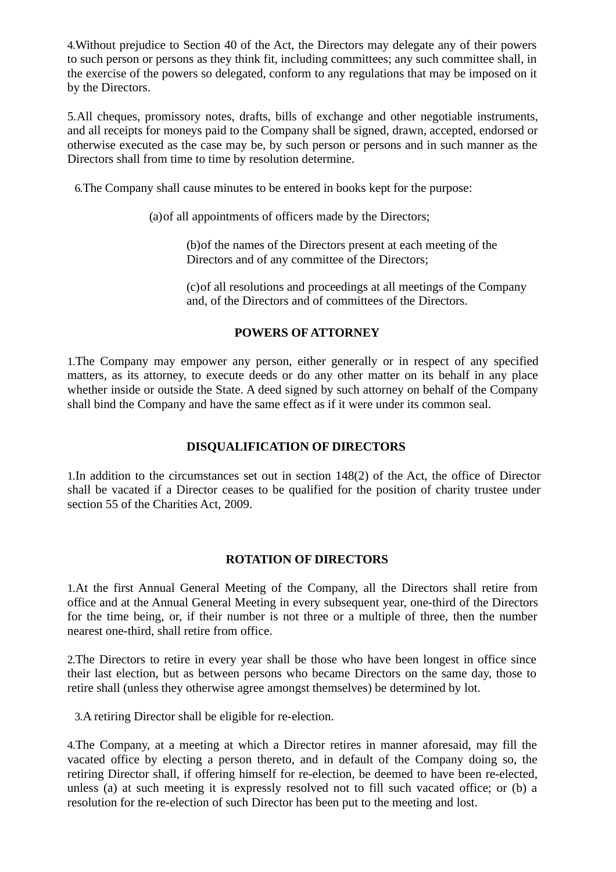4. Without prejudice to Section 40 of the Act, the Directors may delegate any of their powers to such person or persons as they think fit, including committees; any such committee shall, in the exercise of the powers so delegated, conform to any regulations that may be imposed on it by the Directors.

5. All cheques, promissory notes, drafts, bills of exchange and other negotiable instruments, and all receipts for moneys paid to the Company shall be signed, drawn, accepted, endorsed or otherwise executed as the case may be, by such person or persons and in such manner as the Directors shall from time to time by resolution determine.

6. The Company shall cause minutes to be entered in books kept for the purpose:

(a) of all appointments of officers made by the Directors;

(b) of the names of the Directors present at each meeting of the Directors and of any committee of the Directors;

(c) of all resolutions and proceedings at all meetings of the Company and, of the Directors and of committees of the Directors.

## **POWERS OF ATTORNEY**

1. The Company may empower any person, either generally or in respect of any specified matters, as its attorney, to execute deeds or do any other matter on its behalf in any place whether inside or outside the State. A deed signed by such attorney on behalf of the Company shall bind the Company and have the same effect as if it were under its common seal.

## **DISQUALIFICATION OF DIRECTORS**

1. In addition to the circumstances set out in section 148(2) of the Act, the office of Director shall be vacated if a Director ceases to be qualified for the position of charity trustee under section 55 of the Charities Act, 2009.

## **ROTATION OF DIRECTORS**

1.At the first Annual General Meeting of the Company, all the Directors shall retire from office and at the Annual General Meeting in every subsequent year, one-third of the Directors for the time being, or, if their number is not three or a multiple of three, then the number nearest one-third, shall retire from office.

2. The Directors to retire in every year shall be those who have been longest in office since their last election, but as between persons who became Directors on the same day, those to retire shall (unless they otherwise agree amongst themselves) be determined by lot.

3.A retiring Director shall be eligible for re-election.

4. The Company, at a meeting at which a Director retires in manner aforesaid, may fill the vacated office by electing a person thereto, and in default of the Company doing so, the retiring Director shall, if offering himself for re-election, be deemed to have been re-elected, unless (a) at such meeting it is expressly resolved not to fill such vacated office; or (b) a resolution for the re-election of such Director has been put to the meeting and lost.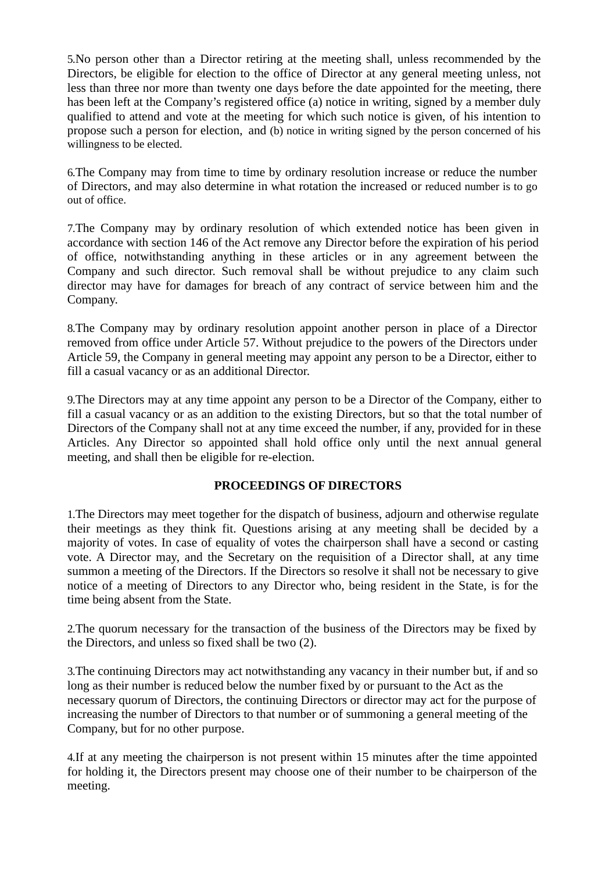5. No person other than a Director retiring at the meeting shall, unless recommended by the Directors, be eligible for election to the office of Director at any general meeting unless, not less than three nor more than twenty one days before the date appointed for the meeting, there has been left at the Company's registered office (a) notice in writing, signed by a member duly qualified to attend and vote at the meeting for which such notice is given, of his intention to propose such a person for election, and (b) notice in writing signed by the person concerned of his willingness to be elected.

6. The Company may from time to time by ordinary resolution increase or reduce the number of Directors, and may also determine in what rotation the increased or reduced number is to go out of office.

7. The Company may by ordinary resolution of which extended notice has been given in accordance with section 146 of the Act remove any Director before the expiration of his period of office, notwithstanding anything in these articles or in any agreement between the Company and such director. Such removal shall be without prejudice to any claim such director may have for damages for breach of any contract of service between him and the Company.

8. The Company may by ordinary resolution appoint another person in place of a Director removed from office under Article 57. Without prejudice to the powers of the Directors under Article 59, the Company in general meeting may appoint any person to be a Director, either to fill a casual vacancy or as an additional Director.

9. The Directors may at any time appoint any person to be a Director of the Company, either to fill a casual vacancy or as an addition to the existing Directors, but so that the total number of Directors of the Company shall not at any time exceed the number, if any, provided for in these Articles. Any Director so appointed shall hold office only until the next annual general meeting, and shall then be eligible for re-election.

## PROCEEDINGS OF DIRECTORS

1. The Directors may meet together for the dispatch of business, adjourn and otherwise regulate their meetings as they think fit. Questions arising at any meeting shall be decided by a majority of votes. In case of equality of votes the chairperson shall have a second or casting vote. A Director may, and the Secretary on the requisition of a Director shall, at any time summon a meeting of the Directors. If the Directors so resolve it shall not be necessary to give notice of a meeting of Directors to any Director who, being resident in the State, is for the time being absent from the State.

2. The quorum necessary for the transaction of the business of the Directors may be fixed by the Directors, and unless so fixed shall be two (2).

3. The continuing Directors may act notwithstanding any vacancy in their number but, if and so long as their number is reduced below the number fixed by or pursuant to the Act as the necessary quorum of Directors, the continuing Directors or director may act for the purpose of increasing the number of Directors to that number or of summoning a general meeting of the Company, but for no other purpose.

4. If at any meeting the chairperson is not present within 15 minutes after the time appointed for holding it, the Directors present may choose one of their number to be chairperson of the meeting.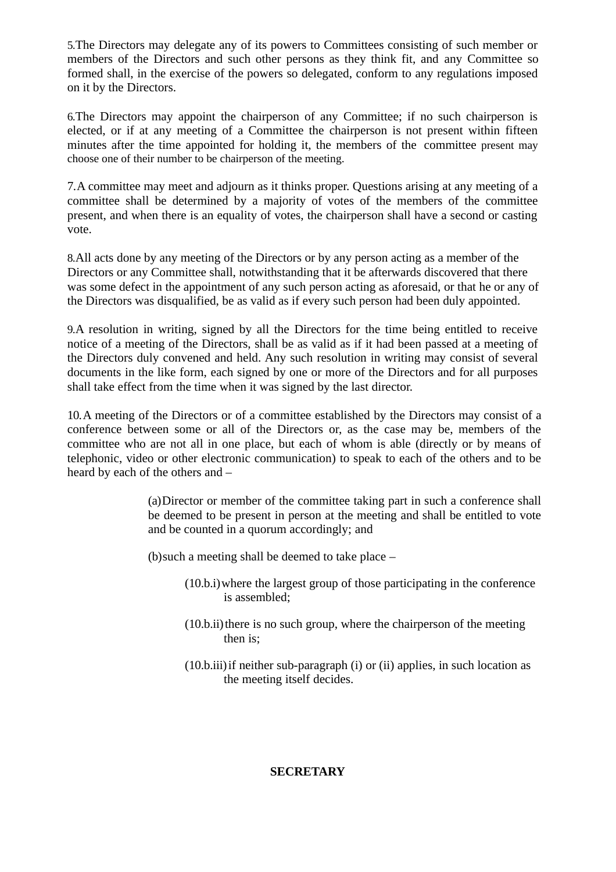5. The Directors may delegate any of its powers to Committees consisting of such member or members of the Directors and such other persons as they think fit, and any Committee so formed shall, in the exercise of the powers so delegated, conform to any regulations imposed on it by the Directors.

6. The Directors may appoint the chairperson of any Committee; if no such chairperson is elected, or if at any meeting of a Committee the chairperson is not present within fifteen minutes after the time appointed for holding it, the members of the committee present may choose one of their number to be chairperson of the meeting.

7. A committee may meet and adjourn as it thinks proper. Questions arising at any meeting of a committee shall be determined by a majority of votes of the members of the committee present, and when there is an equality of votes, the chairperson shall have a second or casting vote.

8. All acts done by any meeting of the Directors or by any person acting as a member of the Directors or any Committee shall, notwithstanding that it be afterwards discovered that there was some defect in the appointment of any such person acting as aforesaid, or that he or any of the Directors was disqualified, be as valid as if every such person had been duly appointed.

9.A resolution in writing, signed by all the Directors for the time being entitled to receive notice of a meeting of the Directors, shall be as valid as if it had been passed at a meeting of the Directors duly convened and held. Any such resolution in writing may consist of several documents in the like form, each signed by one or more of the Directors and for all purposes shall take effect from the time when it was signed by the last director.

10. A meeting of the Directors or of a committee established by the Directors may consist of a conference between some or all of the Directors or, as the case may be, members of the committee who are not all in one place, but each of whom is able (directly or by means of telephonic, video or other electronic communication) to speak to each of the others and to be heard by each of the others and -

> (a) Director or member of the committee taking part in such a conference shall be deemed to be present in person at the meeting and shall be entitled to vote and be counted in a quorum accordingly; and

(b) such a meeting shall be deemed to take place  $-$ 

- (10.b.i) where the largest group of those participating in the conference is assembled;
- (10.b.ii) there is no such group, where the chairperson of the meeting then is:
- (10.b.iii) if neither sub-paragraph (i) or (ii) applies, in such location as the meeting itself decides.

### **SECRETARY**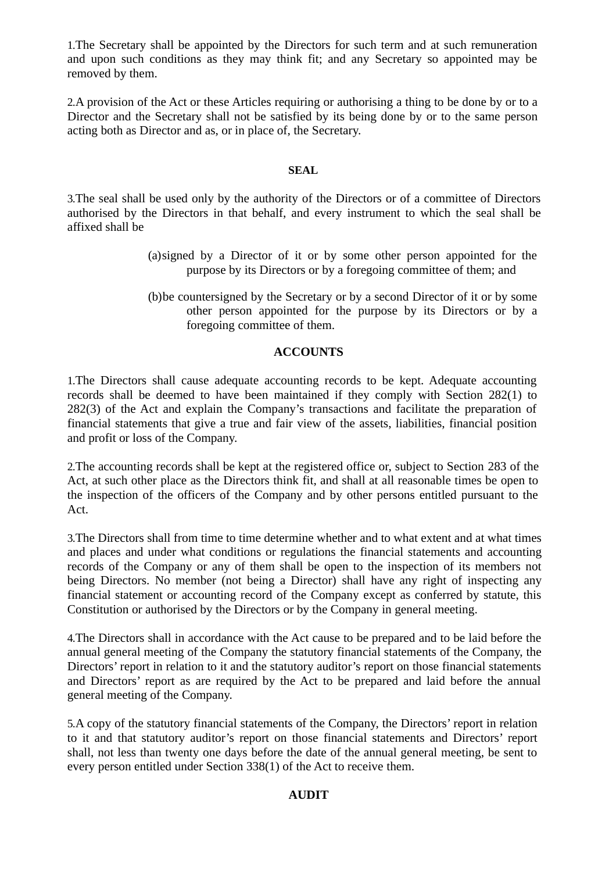1. The Secretary shall be appointed by the Directors for such term and at such remuneration and upon such conditions as they may think fit; and any Secretary so appointed may be removed by them.

2.A provision of the Act or these Articles requiring or authorising a thing to be done by or to a Director and the Secretary shall not be satisfied by its being done by or to the same person acting both as Director and as, or in place of, the Secretary.

#### **SEAL**

3. The seal shall be used only by the authority of the Directors or of a committee of Directors authorised by the Directors in that behalf, and every instrument to which the seal shall be affixed shall be

- (a) signed by a Director of it or by some other person appointed for the purpose by its Directors or by a foregoing committee of them; and
- (b) be countersigned by the Secretary or by a second Director of it or by some other person appointed for the purpose by its Directors or by a foregoing committee of them.

### **ACCOUNTS**

1. The Directors shall cause adequate accounting records to be kept. Adequate accounting records shall be deemed to have been maintained if they comply with Section 282(1) to 282(3) of the Act and explain the Company's transactions and facilitate the preparation of financial statements that give a true and fair view of the assets, liabilities, financial position and profit or loss of the Company.

2. The accounting records shall be kept at the registered office or, subject to Section 283 of the Act, at such other place as the Directors think fit, and shall at all reasonable times be open to the inspection of the officers of the Company and by other persons entitled pursuant to the Act.

3. The Directors shall from time to time determine whether and to what extent and at what times and places and under what conditions or regulations the financial statements and accounting records of the Company or any of them shall be open to the inspection of its members not being Directors. No member (not being a Director) shall have any right of inspecting any financial statement or accounting record of the Company except as conferred by statute, this Constitution or authorised by the Directors or by the Company in general meeting.

4. The Directors shall in accordance with the Act cause to be prepared and to be laid before the annual general meeting of the Company the statutory financial statements of the Company, the Directors' report in relation to it and the statutory auditor's report on those financial statements and Directors' report as are required by the Act to be prepared and laid before the annual general meeting of the Company.

5.A copy of the statutory financial statements of the Company, the Directors' report in relation to it and that statutory auditor's report on those financial statements and Directors' report shall, not less than twenty one days before the date of the annual general meeting, be sent to every person entitled under Section 338(1) of the Act to receive them.

#### **AUDIT**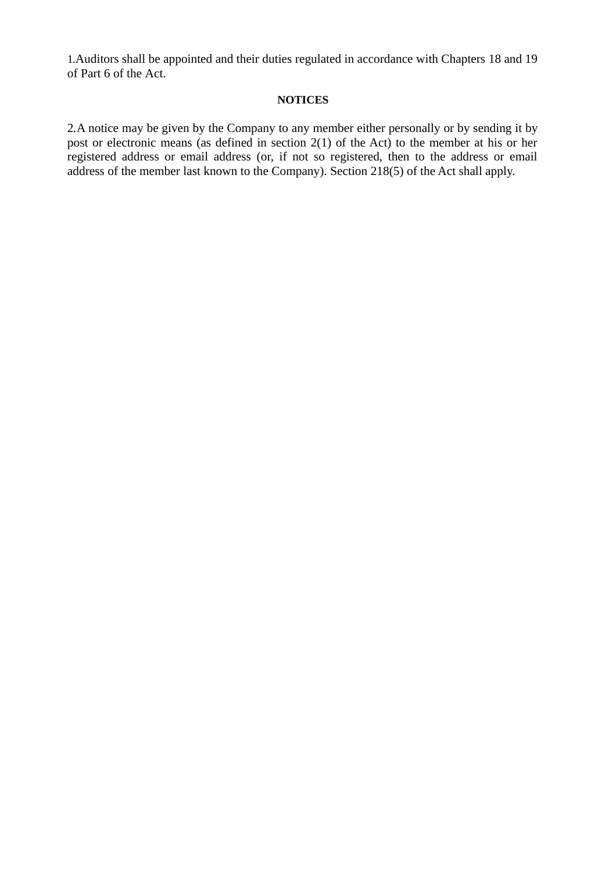1. Auditors shall be appointed and their duties regulated in accordance with Chapters 18 and 19 of Part 6 of the Act.

## **NOTICES**

2. A notice may be given by the Company to any member either personally or by sending it by post or electronic means (as defined in section 2(1) of the Act) to the member at his or her registered address or email address (or, if not so registered, then to the address or email address of the member last known to the Company). Section 218(5) of the Act shall apply.